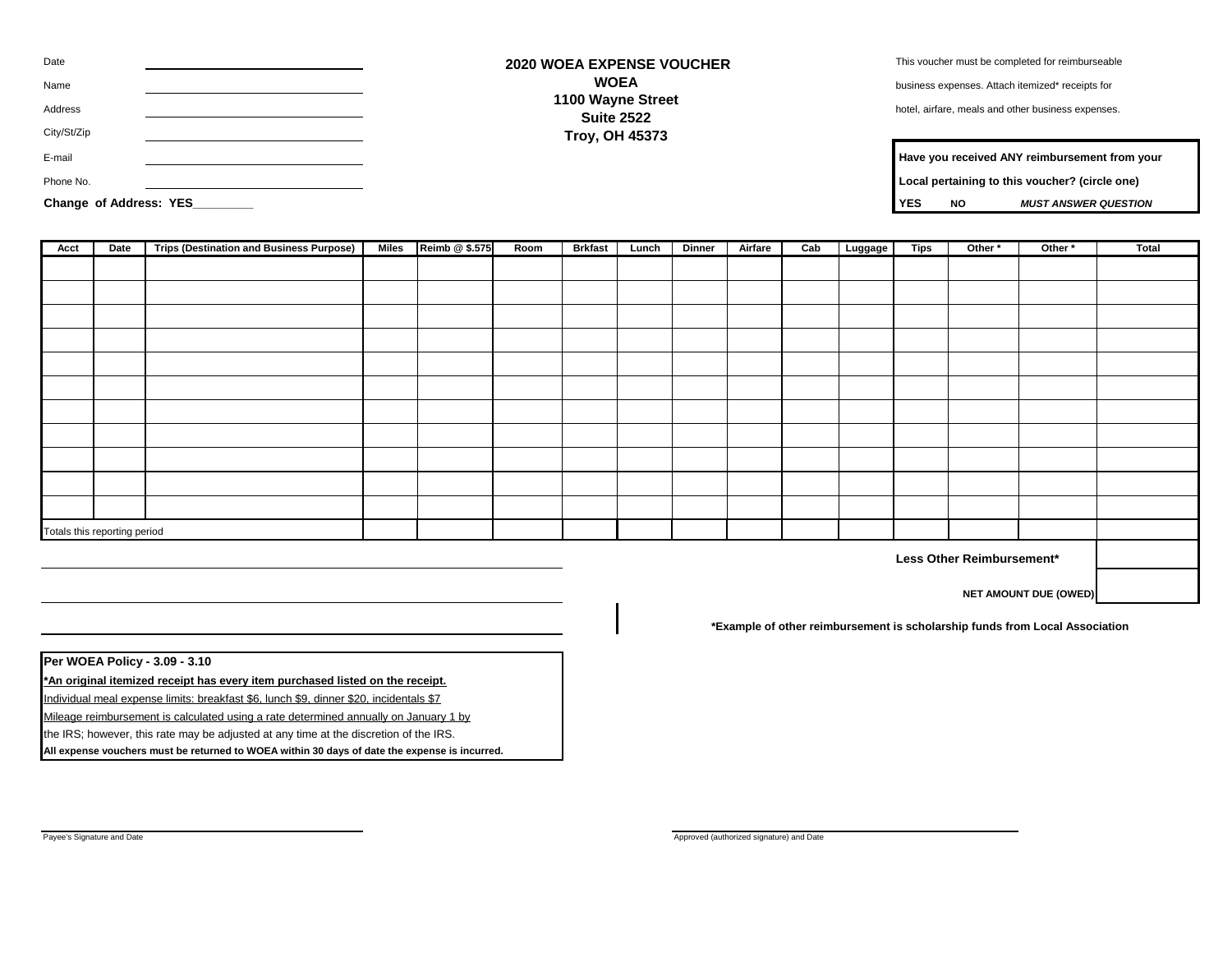| Date                   | <b>2020 WOEA EXPENSE VOUCHER</b>       | This voucher must be completed for reimburseable       |
|------------------------|----------------------------------------|--------------------------------------------------------|
| Name                   | <b>WOEA</b>                            | business expenses. Attach itemized* receipts for       |
| Address                | 1100 Wayne Street<br><b>Suite 2522</b> | hotel, airfare, meals and other business expenses.     |
| City/St/Zip            | <b>Troy, OH 45373</b>                  |                                                        |
| E-mail                 |                                        | Have you received ANY reimbursement from your          |
| Phone No.              |                                        | Local pertaining to this voucher? (circle one)         |
| Change of Address: YES |                                        | <b>YES</b><br><b>NO</b><br><b>MUST ANSWER QUESTION</b> |

| Have you received ANY reimbursement from your |     |                             |  |  |  |  |
|-----------------------------------------------|-----|-----------------------------|--|--|--|--|
| ocal pertaining to this voucher? (circle one) |     |                             |  |  |  |  |
| YES.                                          | NO. | <b>MUST ANSWER QUESTION</b> |  |  |  |  |

| Acct<br>Date                 |  | <b>Trips (Destination and Business Purpose)</b> | Miles | Reimb @ \$.575 | Room | <b>Brkfast</b> | Lunch | <b>Dinner</b> | Airfare | Cab | Luggage | <b>Tips</b> | Other * | Other * | <b>Total</b> |
|------------------------------|--|-------------------------------------------------|-------|----------------|------|----------------|-------|---------------|---------|-----|---------|-------------|---------|---------|--------------|
|                              |  |                                                 |       |                |      |                |       |               |         |     |         |             |         |         |              |
|                              |  |                                                 |       |                |      |                |       |               |         |     |         |             |         |         |              |
|                              |  |                                                 |       |                |      |                |       |               |         |     |         |             |         |         |              |
|                              |  |                                                 |       |                |      |                |       |               |         |     |         |             |         |         |              |
|                              |  |                                                 |       |                |      |                |       |               |         |     |         |             |         |         |              |
|                              |  |                                                 |       |                |      |                |       |               |         |     |         |             |         |         |              |
|                              |  |                                                 |       |                |      |                |       |               |         |     |         |             |         |         |              |
|                              |  |                                                 |       |                |      |                |       |               |         |     |         |             |         |         |              |
|                              |  |                                                 |       |                |      |                |       |               |         |     |         |             |         |         |              |
|                              |  |                                                 |       |                |      |                |       |               |         |     |         |             |         |         |              |
|                              |  |                                                 |       |                |      |                |       |               |         |     |         |             |         |         |              |
| Totals this reporting period |  |                                                 |       |                |      |                |       |               |         |     |         |             |         |         |              |

**Less Other Reimbursement\***

**NET AMOUNT DUE (OWED)**

**\*Example of other reimbursement is scholarship funds from Local Association**

**Per WOEA Policy - 3.09 - 3.10**

**\*An original itemized receipt has every item purchased listed on the receipt.**

Individual meal expense limits: breakfast \$6, lunch \$9, dinner \$20, incidentals \$7

Mileage reimbursement is calculated using a rate determined annually on January 1 by

the IRS; however, this rate may be adjusted at any time at the discretion of the IRS.

**All expense vouchers must be returned to WOEA within 30 days of date the expense is incurred.**